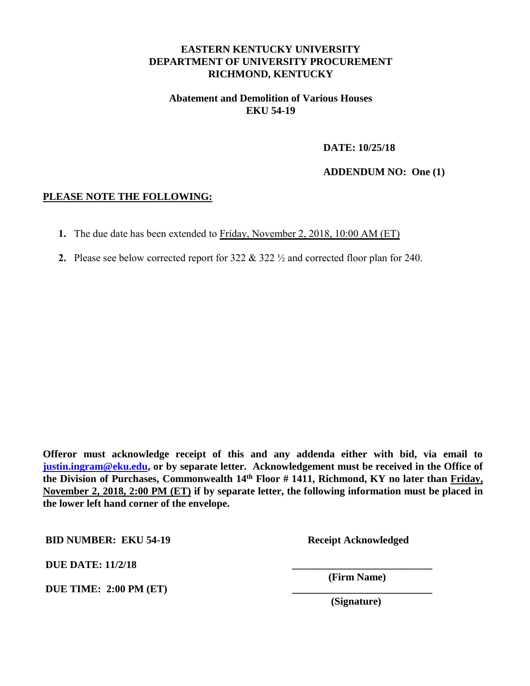## **EASTERN KENTUCKY UNIVERSITY DEPARTMENT OF UNIVERSITY PROCUREMENT RICHMOND, KENTUCKY**

#### **Abatement and Demolition of Various Houses EKU 54-19**

**DATE: 10/25/18** 

**ADDENDUM NO: One (1)** 

#### **PLEASE NOTE THE FOLLOWING:**

- **1.** The due date has been extended to Friday, November 2, 2018, 10:00 AM (ET)
- **2.** Please see below corrected report for 322 & 322 ½ and corrected floor plan for 240.

**Offeror must acknowledge receipt of this and any addenda either with bid, via email to [justin.ingram@eku.edu,](mailto:justin.ingram@eku.edu) or by separate letter. Acknowledgement must be received in the Office of the Division of Purchases, Commonwealth 14th Floor # 1411, Richmond, KY no later than Friday, November 2, 2018, 2:00 PM (ET) if by separate letter, the following information must be placed in the lower left hand corner of the envelope.** 

**BID NUMBER: EKU 54-19 Receipt Acknowledged** 

**DUE** DATE:  $11/2/18$ 

**DUE TIME: 2:00 PM (ET)** 

 **(Firm Name)** 

 **(Signature)**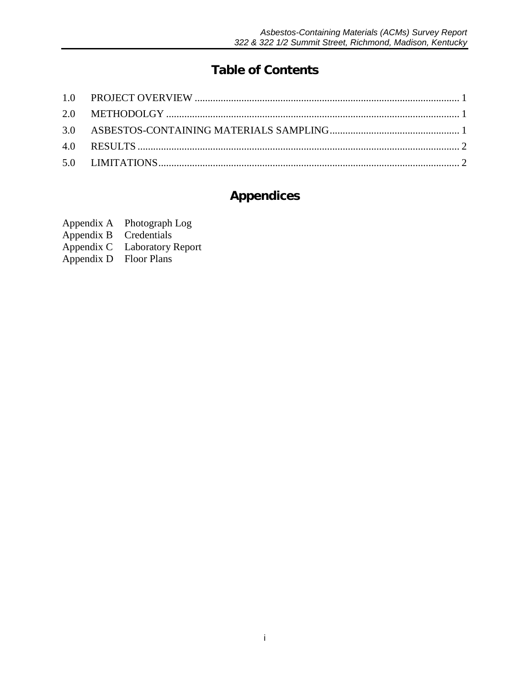# **Table of Contents**

## **Appendices**

- Appendix A Photograph Log<br>Appendix B Credentials
- 
- Appendix B<br>Appendix C Laboratory Report
- Appendix D Floor Plans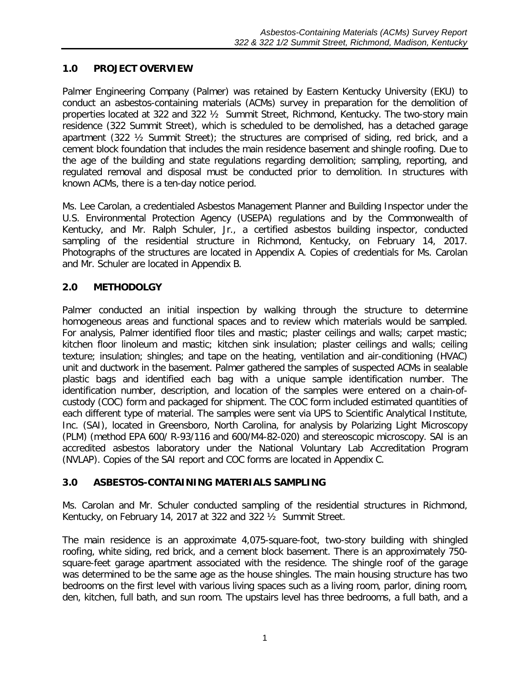## <span id="page-2-0"></span>**1.0 PROJECT OVERVIEW**

Palmer Engineering Company (Palmer) was retained by Eastern Kentucky University (EKU) to conduct an asbestos-containing materials (ACMs) survey in preparation for the demolition of properties located at 322 and 322 ½ Summit Street, Richmond, Kentucky. The two-story main residence (322 Summit Street), which is scheduled to be demolished, has a detached garage apartment (322 ½ Summit Street); the structures are comprised of siding, red brick, and a cement block foundation that includes the main residence basement and shingle roofing. Due to the age of the building and state regulations regarding demolition; sampling, reporting, and regulated removal and disposal must be conducted prior to demolition. In structures with known ACMs, there is a ten-day notice period.

Ms. Lee Carolan, a credentialed Asbestos Management Planner and Building Inspector under the U.S. Environmental Protection Agency (USEPA) regulations and by the Commonwealth of Kentucky, and Mr. Ralph Schuler, Jr., a certified asbestos building inspector, conducted sampling of the residential structure in Richmond, Kentucky, on February 14, 2017. Photographs of the structures are located in Appendix A. Copies of credentials for Ms. Carolan and Mr. Schuler are located in Appendix B.

## <span id="page-2-1"></span>**2.0 METHODOLGY**

Palmer conducted an initial inspection by walking through the structure to determine homogeneous areas and functional spaces and to review which materials would be sampled. For analysis, Palmer identified floor tiles and mastic; plaster ceilings and walls; carpet mastic; kitchen floor linoleum and mastic; kitchen sink insulation; plaster ceilings and walls; ceiling texture; insulation; shingles; and tape on the heating, ventilation and air-conditioning (HVAC) unit and ductwork in the basement. Palmer gathered the samples of suspected ACMs in sealable plastic bags and identified each bag with a unique sample identification number. The identification number, description, and location of the samples were entered on a chain-ofcustody (COC) form and packaged for shipment. The COC form included estimated quantities of each different type of material. The samples were sent via UPS to Scientific Analytical Institute, Inc. (SAI), located in Greensboro, North Carolina, for analysis by Polarizing Light Microscopy (PLM) (method EPA 600/ R-93/116 and 600/M4-82-020) and stereoscopic microscopy. SAI is an accredited asbestos laboratory under the National Voluntary Lab Accreditation Program (NVLAP). Copies of the SAI report and COC forms are located in Appendix C.

## <span id="page-2-2"></span>**3.0 ASBESTOS-CONTAINING MATERIALS SAMPLING**

Ms. Carolan and Mr. Schuler conducted sampling of the residential structures in Richmond, Kentucky, on February 14, 2017 at 322 and 322 ½ Summit Street.

The main residence is an approximate 4,075-square-foot, two-story building with shingled roofing, white siding, red brick, and a cement block basement. There is an approximately 750 square-feet garage apartment associated with the residence. The shingle roof of the garage was determined to be the same age as the house shingles. The main housing structure has two bedrooms on the first level with various living spaces such as a living room, parlor, dining room, den, kitchen, full bath, and sun room. The upstairs level has three bedrooms, a full bath, and a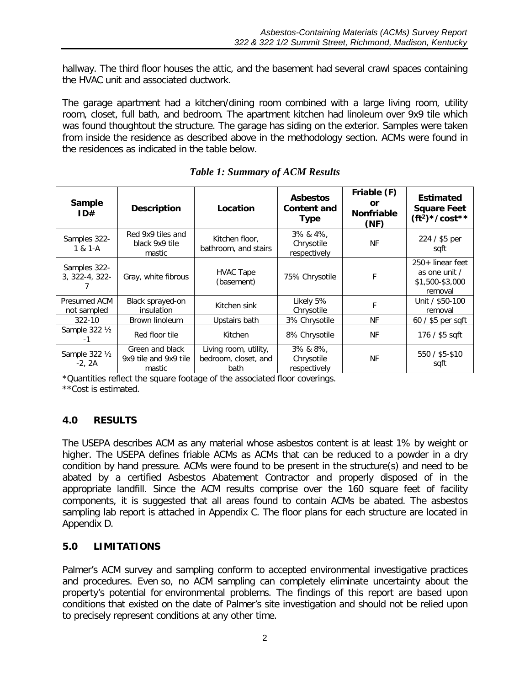hallway. The third floor houses the attic, and the basement had several crawl spaces containing the HVAC unit and associated ductwork.

The garage apartment had a kitchen/dining room combined with a large living room, utility room, closet, full bath, and bedroom. The apartment kitchen had linoleum over 9x9 tile which was found thoughtout the structure. The garage has siding on the exterior. Samples were taken from inside the residence as described above in the methodology section. ACMs were found in the residences as indicated in the table below.

| Sample<br>ID#                  | <b>Description</b>                                 | Location                                              | <b>Asbestos</b><br><b>Content and</b><br><b>Type</b> | Friable (F)<br>or<br><b>Nonfriable</b><br>(NF) | <b>Estimated</b><br><b>Square Feet</b><br>$({\rm ft}^2)^*/\rm cost**$ |
|--------------------------------|----------------------------------------------------|-------------------------------------------------------|------------------------------------------------------|------------------------------------------------|-----------------------------------------------------------------------|
| Samples 322-<br>$1 & 1-A$      | Red 9x9 tiles and<br>black 9x9 tile<br>mastic      | Kitchen floor,<br>bathroom, and stairs                | 3% & 4%,<br>Chrysotile<br>respectively               | NF                                             | 224 / \$5 per<br>sqft                                                 |
| Samples 322-<br>3, 322-4, 322- | Gray, white fibrous                                | <b>HVAC Tape</b><br>(basement)                        | 75% Chrysotile                                       | F                                              | 250+ linear feet<br>as one unit /<br>\$1,500-\$3,000<br>removal       |
| Presumed ACM<br>not sampled    | Black sprayed-on<br><i>insulation</i>              | Kitchen sink                                          | Likely 5%<br>Chrysotile                              | F                                              | Unit / \$50-100<br>removal                                            |
| $322 - 10$                     | Brown linoleum                                     | Upstairs bath                                         | 3% Chrysotile                                        | ΝF                                             | $60/$ \$5 per sqft                                                    |
| Sample 322 1/2                 | Red floor tile                                     | Kitchen                                               | 8% Chrysotile                                        | NF                                             | 176 / \$5 sqft                                                        |
| Sample 322 1/2<br>$-2, 2A$     | Green and black<br>9x9 tile and 9x9 tile<br>mastic | Living room, utility,<br>bedroom, closet, and<br>bath | $3\%$ & $8\%$ ,<br>Chrysotile<br>respectively        | ΝF                                             | 550 / \$5-\$10<br>sqft                                                |

*Table 1: Summary of ACM Results*

\*Quantities reflect the square footage of the associated floor coverings.

\*\*Cost is estimated.

## <span id="page-3-0"></span>**4.0 RESULTS**

The USEPA describes ACM as any material whose asbestos content is at least 1% by weight or higher. The USEPA defines friable ACMs as ACMs that can be reduced to a powder in a dry condition by hand pressure. ACMs were found to be present in the structure(s) and need to be abated by a certified Asbestos Abatement Contractor and properly disposed of in the appropriate landfill. Since the ACM results comprise over the 160 square feet of facility components, it is suggested that all areas found to contain ACMs be abated. The asbestos sampling lab report is attached in Appendix C. The floor plans for each structure are located in Appendix D.

#### <span id="page-3-1"></span>**5.0 LIMITATIONS**

Palmer's ACM survey and sampling conform to accepted environmental investigative practices and procedures. Even so, no ACM sampling can completely eliminate uncertainty about the property's potential for environmental problems. The findings of this report are based upon conditions that existed on the date of Palmer's site investigation and should not be relied upon to precisely represent conditions at any other time.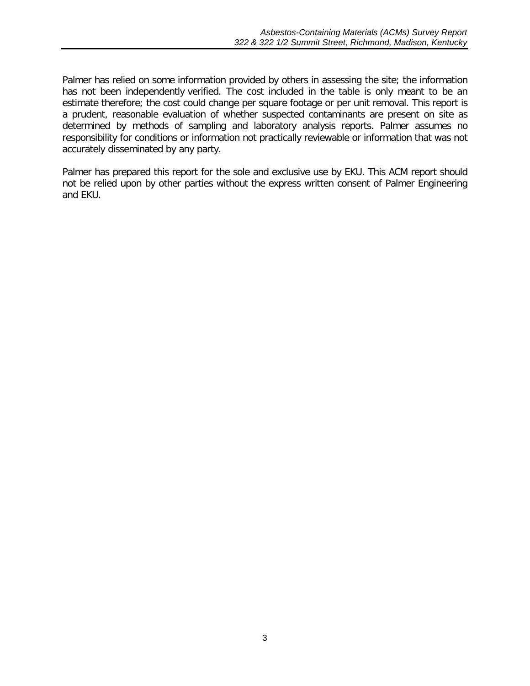Palmer has relied on some information provided by others in assessing the site; the information has not been independently verified. The cost included in the table is only meant to be an estimate therefore; the cost could change per square footage or per unit removal. This report is a prudent, reasonable evaluation of whether suspected contaminants are present on site as determined by methods of sampling and laboratory analysis reports. Palmer assumes no responsibility for conditions or information not practically reviewable or information that was not accurately disseminated by any party.

Palmer has prepared this report for the sole and exclusive use by EKU. This ACM report should not be relied upon by other parties without the express written consent of Palmer Engineering and EKU.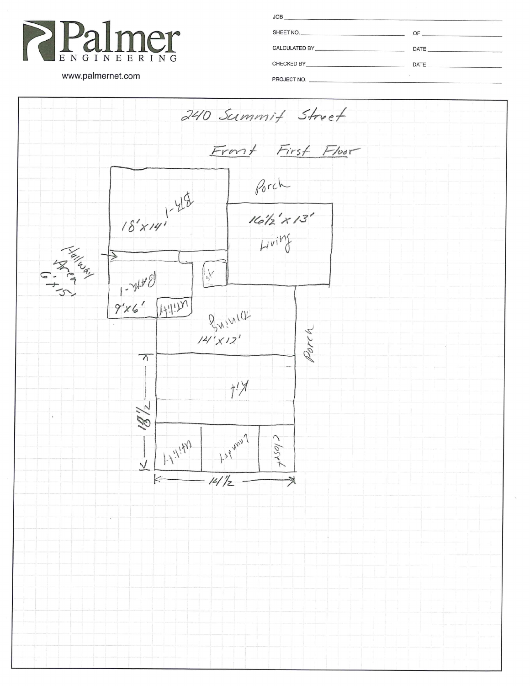

| <b>JOB</b><br>the contract of the contract of the contract of the contract of the contract of the contract of                                                                                                                 |                                                                                       |
|-------------------------------------------------------------------------------------------------------------------------------------------------------------------------------------------------------------------------------|---------------------------------------------------------------------------------------|
| SHEET NO.                                                                                                                                                                                                                     | OF<br>the contract of the contract of the contract of the contract of the contract of |
| CALCULATED BY THE STATE OF THE STATE OF THE STATE OF THE STATE OF THE STATE OF THE STATE OF THE STATE OF THE STATE OF THE STATE OF THE STATE OF THE STATE OF THE STATE OF THE STATE OF THE STATE OF THE STATE OF THE STATE OF | DATE <b>DATE</b>                                                                      |
| CHECKED BY THE CHARGE AND THE CHECKED BY                                                                                                                                                                                      | DATE                                                                                  |
| <b>DDO IECT NO</b>                                                                                                                                                                                                            |                                                                                       |

www.palmernet.com